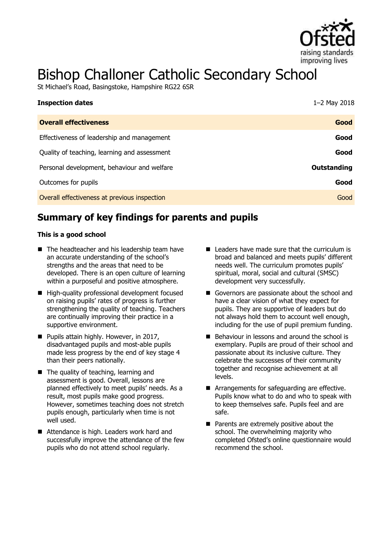

# Bishop Challoner Catholic Secondary School

St Michael's Road, Basingstoke, Hampshire RG22 6SR

| <b>Inspection dates</b>                      | 1-2 May 2018 |
|----------------------------------------------|--------------|
| <b>Overall effectiveness</b>                 | Good         |
| Effectiveness of leadership and management   | Good         |
| Quality of teaching, learning and assessment | Good         |
| Personal development, behaviour and welfare  | Outstanding  |
| Outcomes for pupils                          | Good         |
| Overall effectiveness at previous inspection | Good         |

# **Summary of key findings for parents and pupils**

#### **This is a good school**

- The headteacher and his leadership team have an accurate understanding of the school's strengths and the areas that need to be developed. There is an open culture of learning within a purposeful and positive atmosphere.
- High-quality professional development focused on raising pupils' rates of progress is further strengthening the quality of teaching. Teachers are continually improving their practice in a supportive environment.
- **Pupils attain highly. However, in 2017,** disadvantaged pupils and most-able pupils made less progress by the end of key stage 4 than their peers nationally.
- The quality of teaching, learning and assessment is good. Overall, lessons are planned effectively to meet pupils' needs. As a result, most pupils make good progress. However, sometimes teaching does not stretch pupils enough, particularly when time is not well used.
- Attendance is high. Leaders work hard and successfully improve the attendance of the few pupils who do not attend school regularly.
- $\blacksquare$  Leaders have made sure that the curriculum is broad and balanced and meets pupils' different needs well. The curriculum promotes pupils' spiritual, moral, social and cultural (SMSC) development very successfully.
- Governors are passionate about the school and have a clear vision of what they expect for pupils. They are supportive of leaders but do not always hold them to account well enough, including for the use of pupil premium funding.
- Behaviour in lessons and around the school is exemplary. Pupils are proud of their school and passionate about its inclusive culture. They celebrate the successes of their community together and recognise achievement at all levels.
- Arrangements for safeguarding are effective. Pupils know what to do and who to speak with to keep themselves safe. Pupils feel and are safe.
- **Parents are extremely positive about the** school. The overwhelming majority who completed Ofsted's online questionnaire would recommend the school.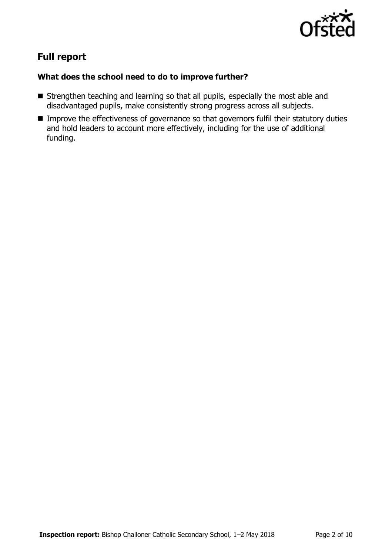

# **Full report**

## **What does the school need to do to improve further?**

- Strengthen teaching and learning so that all pupils, especially the most able and disadvantaged pupils, make consistently strong progress across all subjects.
- **IMPROVE THE EFFECTIVENESS OF GOVERTHER SO that governors fulfil their statutory duties** and hold leaders to account more effectively, including for the use of additional funding.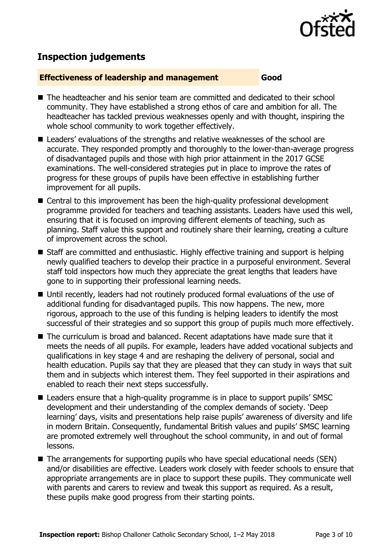

# **Inspection judgements**

#### **Effectiveness of leadership and management Good**

- The headteacher and his senior team are committed and dedicated to their school community. They have established a strong ethos of care and ambition for all. The headteacher has tackled previous weaknesses openly and with thought, inspiring the whole school community to work together effectively.
- Leaders' evaluations of the strengths and relative weaknesses of the school are accurate. They responded promptly and thoroughly to the lower-than-average progress of disadvantaged pupils and those with high prior attainment in the 2017 GCSE examinations. The well-considered strategies put in place to improve the rates of progress for these groups of pupils have been effective in establishing further improvement for all pupils.
- Central to this improvement has been the high-quality professional development programme provided for teachers and teaching assistants. Leaders have used this well, ensuring that it is focused on improving different elements of teaching, such as planning. Staff value this support and routinely share their learning, creating a culture of improvement across the school.
- Staff are committed and enthusiastic. Highly effective training and support is helping newly qualified teachers to develop their practice in a purposeful environment. Several staff told inspectors how much they appreciate the great lengths that leaders have gone to in supporting their professional learning needs.
- Until recently, leaders had not routinely produced formal evaluations of the use of additional funding for disadvantaged pupils. This now happens. The new, more rigorous, approach to the use of this funding is helping leaders to identify the most successful of their strategies and so support this group of pupils much more effectively.
- The curriculum is broad and balanced. Recent adaptations have made sure that it meets the needs of all pupils. For example, leaders have added vocational subjects and qualifications in key stage 4 and are reshaping the delivery of personal, social and health education. Pupils say that they are pleased that they can study in ways that suit them and in subjects which interest them. They feel supported in their aspirations and enabled to reach their next steps successfully.
- Leaders ensure that a high-quality programme is in place to support pupils' SMSC development and their understanding of the complex demands of society. 'Deep learning' days, visits and presentations help raise pupils' awareness of diversity and life in modern Britain. Consequently, fundamental British values and pupils' SMSC learning are promoted extremely well throughout the school community, in and out of formal lessons.
- The arrangements for supporting pupils who have special educational needs (SEN) and/or disabilities are effective. Leaders work closely with feeder schools to ensure that appropriate arrangements are in place to support these pupils. They communicate well with parents and carers to review and tweak this support as required. As a result, these pupils make good progress from their starting points.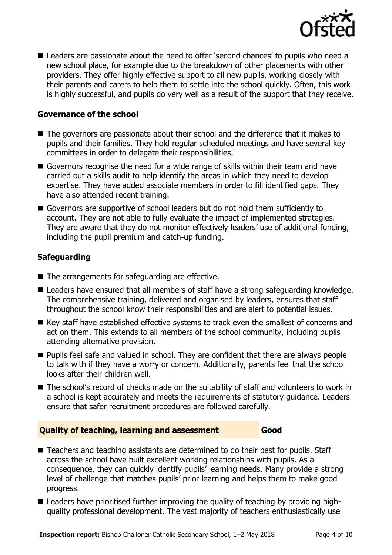

■ Leaders are passionate about the need to offer 'second chances' to pupils who need a new school place, for example due to the breakdown of other placements with other providers. They offer highly effective support to all new pupils, working closely with their parents and carers to help them to settle into the school quickly. Often, this work is highly successful, and pupils do very well as a result of the support that they receive.

## **Governance of the school**

- The governors are passionate about their school and the difference that it makes to pupils and their families. They hold regular scheduled meetings and have several key committees in order to delegate their responsibilities.
- Governors recognise the need for a wide range of skills within their team and have carried out a skills audit to help identify the areas in which they need to develop expertise. They have added associate members in order to fill identified gaps. They have also attended recent training.
- Governors are supportive of school leaders but do not hold them sufficiently to account. They are not able to fully evaluate the impact of implemented strategies. They are aware that they do not monitor effectively leaders' use of additional funding, including the pupil premium and catch-up funding.

# **Safeguarding**

- $\blacksquare$  The arrangements for safeguarding are effective.
- Leaders have ensured that all members of staff have a strong safeguarding knowledge. The comprehensive training, delivered and organised by leaders, ensures that staff throughout the school know their responsibilities and are alert to potential issues.
- Key staff have established effective systems to track even the smallest of concerns and act on them. This extends to all members of the school community, including pupils attending alternative provision.
- **Pupils feel safe and valued in school. They are confident that there are always people** to talk with if they have a worry or concern. Additionally, parents feel that the school looks after their children well.
- The school's record of checks made on the suitability of staff and volunteers to work in a school is kept accurately and meets the requirements of statutory guidance. Leaders ensure that safer recruitment procedures are followed carefully.

#### **Quality of teaching, learning and assessment Good**

- Teachers and teaching assistants are determined to do their best for pupils. Staff across the school have built excellent working relationships with pupils. As a consequence, they can quickly identify pupils' learning needs. Many provide a strong level of challenge that matches pupils' prior learning and helps them to make good progress.
- Leaders have prioritised further improving the quality of teaching by providing highquality professional development. The vast majority of teachers enthusiastically use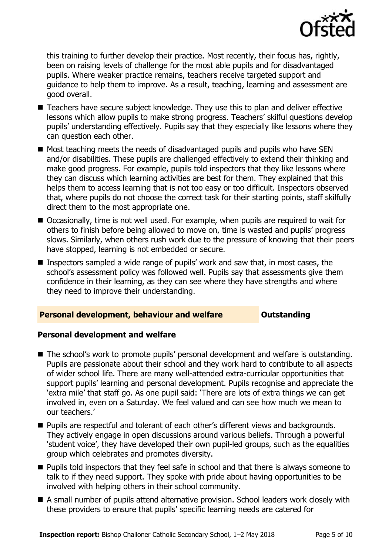

this training to further develop their practice. Most recently, their focus has, rightly, been on raising levels of challenge for the most able pupils and for disadvantaged pupils. Where weaker practice remains, teachers receive targeted support and guidance to help them to improve. As a result, teaching, learning and assessment are good overall.

- Teachers have secure subject knowledge. They use this to plan and deliver effective lessons which allow pupils to make strong progress. Teachers' skilful questions develop pupils' understanding effectively. Pupils say that they especially like lessons where they can question each other.
- $\blacksquare$  Most teaching meets the needs of disadvantaged pupils and pupils who have SEN and/or disabilities. These pupils are challenged effectively to extend their thinking and make good progress. For example, pupils told inspectors that they like lessons where they can discuss which learning activities are best for them. They explained that this helps them to access learning that is not too easy or too difficult. Inspectors observed that, where pupils do not choose the correct task for their starting points, staff skilfully direct them to the most appropriate one.
- Occasionally, time is not well used. For example, when pupils are required to wait for others to finish before being allowed to move on, time is wasted and pupils' progress slows. Similarly, when others rush work due to the pressure of knowing that their peers have stopped, learning is not embedded or secure.
- Inspectors sampled a wide range of pupils' work and saw that, in most cases, the school's assessment policy was followed well. Pupils say that assessments give them confidence in their learning, as they can see where they have strengths and where they need to improve their understanding.

## **Personal development, behaviour and welfare <b>COU** Outstanding

#### **Personal development and welfare**

- The school's work to promote pupils' personal development and welfare is outstanding. Pupils are passionate about their school and they work hard to contribute to all aspects of wider school life. There are many well-attended extra-curricular opportunities that support pupils' learning and personal development. Pupils recognise and appreciate the 'extra mile' that staff go. As one pupil said: 'There are lots of extra things we can get involved in, even on a Saturday. We feel valued and can see how much we mean to our teachers.'
- **Pupils are respectful and tolerant of each other's different views and backgrounds.** They actively engage in open discussions around various beliefs. Through a powerful 'student voice', they have developed their own pupil-led groups, such as the equalities group which celebrates and promotes diversity.
- **Pupils told inspectors that they feel safe in school and that there is always someone to** talk to if they need support. They spoke with pride about having opportunities to be involved with helping others in their school community.
- A small number of pupils attend alternative provision. School leaders work closely with these providers to ensure that pupils' specific learning needs are catered for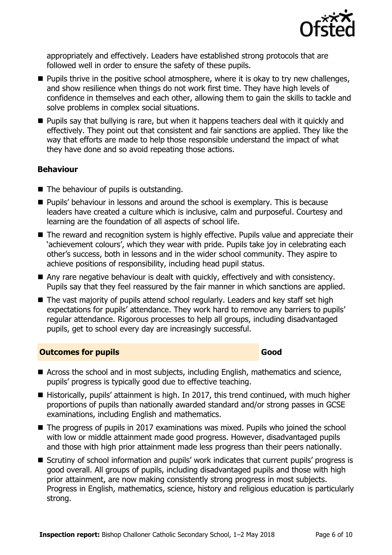

appropriately and effectively. Leaders have established strong protocols that are followed well in order to ensure the safety of these pupils.

- **Pupils thrive in the positive school atmosphere, where it is okay to try new challenges,** and show resilience when things do not work first time. They have high levels of confidence in themselves and each other, allowing them to gain the skills to tackle and solve problems in complex social situations.
- Pupils say that bullying is rare, but when it happens teachers deal with it quickly and effectively. They point out that consistent and fair sanctions are applied. They like the way that efforts are made to help those responsible understand the impact of what they have done and so avoid repeating those actions.

## **Behaviour**

- The behaviour of pupils is outstanding.
- **Pupils' behaviour in lessons and around the school is exemplary. This is because** leaders have created a culture which is inclusive, calm and purposeful. Courtesy and learning are the foundation of all aspects of school life.
- The reward and recognition system is highly effective. Pupils value and appreciate their 'achievement colours', which they wear with pride. Pupils take joy in celebrating each other's success, both in lessons and in the wider school community. They aspire to achieve positions of responsibility, including head pupil status.
- Any rare negative behaviour is dealt with quickly, effectively and with consistency. Pupils say that they feel reassured by the fair manner in which sanctions are applied.
- The vast majority of pupils attend school regularly. Leaders and key staff set high expectations for pupils' attendance. They work hard to remove any barriers to pupils' regular attendance. Rigorous processes to help all groups, including disadvantaged pupils, get to school every day are increasingly successful.

#### **Outcomes for pupils Good Good**

- Across the school and in most subjects, including English, mathematics and science, pupils' progress is typically good due to effective teaching.
- Historically, pupils' attainment is high. In 2017, this trend continued, with much higher proportions of pupils than nationally awarded standard and/or strong passes in GCSE examinations, including English and mathematics.
- The progress of pupils in 2017 examinations was mixed. Pupils who joined the school with low or middle attainment made good progress. However, disadvantaged pupils and those with high prior attainment made less progress than their peers nationally.
- Scrutiny of school information and pupils' work indicates that current pupils' progress is good overall. All groups of pupils, including disadvantaged pupils and those with high prior attainment, are now making consistently strong progress in most subjects. Progress in English, mathematics, science, history and religious education is particularly strong.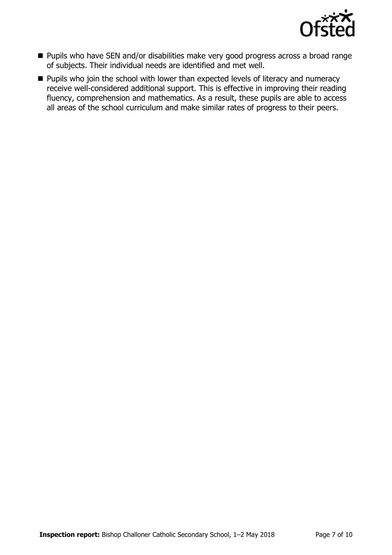

- **Pupils who have SEN and/or disabilities make very good progress across a broad range** of subjects. Their individual needs are identified and met well.
- **Pupils who join the school with lower than expected levels of literacy and numeracy** receive well-considered additional support. This is effective in improving their reading fluency, comprehension and mathematics. As a result, these pupils are able to access all areas of the school curriculum and make similar rates of progress to their peers.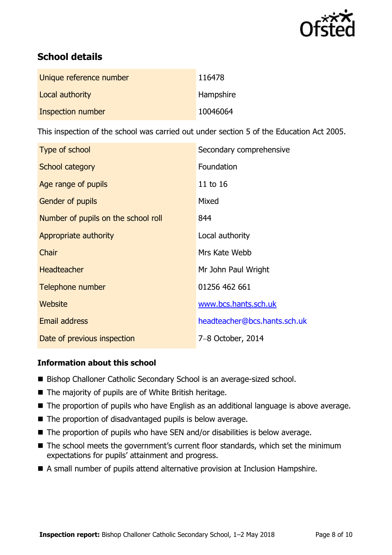

# **School details**

| Unique reference number | 116478    |
|-------------------------|-----------|
| Local authority         | Hampshire |
| Inspection number       | 10046064  |

This inspection of the school was carried out under section 5 of the Education Act 2005.

| Type of school                      | Secondary comprehensive      |  |
|-------------------------------------|------------------------------|--|
| School category                     | Foundation                   |  |
| Age range of pupils                 | 11 to 16                     |  |
| <b>Gender of pupils</b>             | Mixed                        |  |
| Number of pupils on the school roll | 844                          |  |
| Appropriate authority               | Local authority              |  |
| Chair                               | Mrs Kate Webb                |  |
| <b>Headteacher</b>                  | Mr John Paul Wright          |  |
| Telephone number                    | 01256 462 661                |  |
| Website                             | www.bcs.hants.sch.uk         |  |
| <b>Email address</b>                | headteacher@bcs.hants.sch.uk |  |
| Date of previous inspection         | 7-8 October, 2014            |  |

## **Information about this school**

- Bishop Challoner Catholic Secondary School is an average-sized school.
- The majority of pupils are of White British heritage.
- The proportion of pupils who have English as an additional language is above average.
- $\blacksquare$  The proportion of disadvantaged pupils is below average.
- The proportion of pupils who have SEN and/or disabilities is below average.
- The school meets the government's current floor standards, which set the minimum expectations for pupils' attainment and progress.
- A small number of pupils attend alternative provision at Inclusion Hampshire.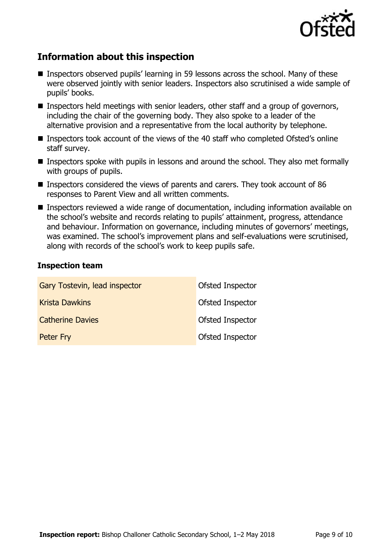

# **Information about this inspection**

- Inspectors observed pupils' learning in 59 lessons across the school. Many of these were observed jointly with senior leaders. Inspectors also scrutinised a wide sample of pupils' books.
- Inspectors held meetings with senior leaders, other staff and a group of governors, including the chair of the governing body. They also spoke to a leader of the alternative provision and a representative from the local authority by telephone.
- Inspectors took account of the views of the 40 staff who completed Ofsted's online staff survey.
- **Inspectors spoke with pupils in lessons and around the school. They also met formally** with groups of pupils.
- Inspectors considered the views of parents and carers. They took account of 86 responses to Parent View and all written comments.
- Inspectors reviewed a wide range of documentation, including information available on the school's website and records relating to pupils' attainment, progress, attendance and behaviour. Information on governance, including minutes of governors' meetings, was examined. The school's improvement plans and self-evaluations were scrutinised, along with records of the school's work to keep pupils safe.

### **Inspection team**

| Gary Tostevin, lead inspector | <b>Ofsted Inspector</b> |
|-------------------------------|-------------------------|
| <b>Krista Dawkins</b>         | <b>Ofsted Inspector</b> |
| <b>Catherine Davies</b>       | <b>Ofsted Inspector</b> |
| Peter Fry                     | <b>Ofsted Inspector</b> |